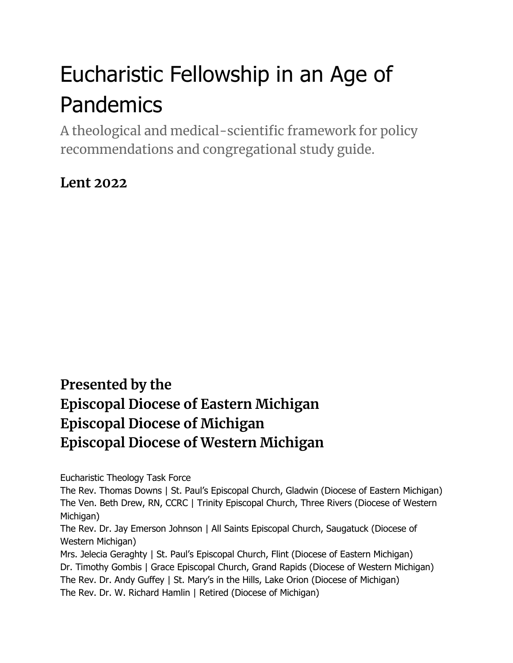# Eucharistic Fellowship in an Age of Pandemics

A theological and medical-scientific framework for policy recommendations and congregational study guide.

### **Lent 2022**

### **Presented by the Episcopal Diocese of Eastern Michigan Episcopal Diocese of Michigan Episcopal Diocese of Western Michigan**

Eucharistic Theology Task Force

The Rev. Thomas Downs | St. Paul's Episcopal Church, Gladwin (Diocese of Eastern Michigan) The Ven. Beth Drew, RN, CCRC | Trinity Episcopal Church, Three Rivers (Diocese of Western Michigan)

The Rev. Dr. Jay Emerson Johnson | All Saints Episcopal Church, Saugatuck (Diocese of Western Michigan)

Mrs. Jelecia Geraghty | St. Paul's Episcopal Church, Flint (Diocese of Eastern Michigan) Dr. Timothy Gombis | Grace Episcopal Church, Grand Rapids (Diocese of Western Michigan) The Rev. Dr. Andy Guffey | St. Mary's in the Hills, Lake Orion (Diocese of Michigan) The Rev. Dr. W. Richard Hamlin | Retired (Diocese of Michigan)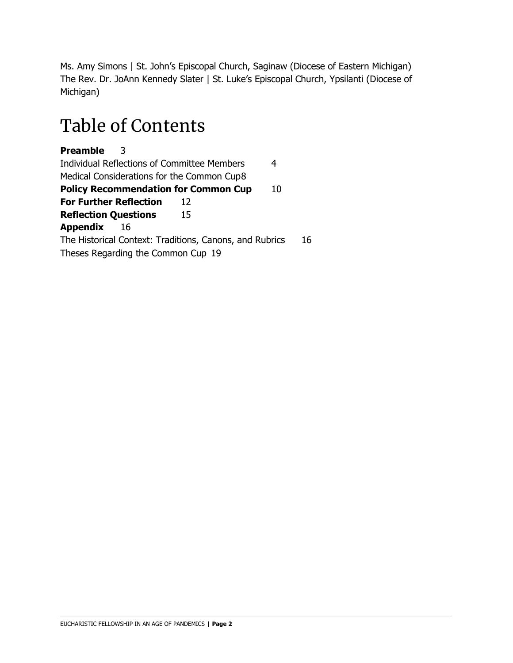Ms. Amy Simons | St. John's Episcopal Church, Saginaw (Diocese of Eastern Michigan) The Rev. Dr. JoAnn Kennedy Slater | St. Luke's Episcopal Church, Ypsilanti (Diocese of Michigan)

### Table of Contents

**Preamble** 3 Individual Reflections of Committee Members 4 Medical Considerations for the Common Cup8 **Policy Recommendation for Common Cup** 10 **For Further Reflection** 12 **Reflection Questions** 15 **Appendix** 16 The Historical Context: Traditions, Canons, and Rubrics 16 Theses Regarding the Common Cup 19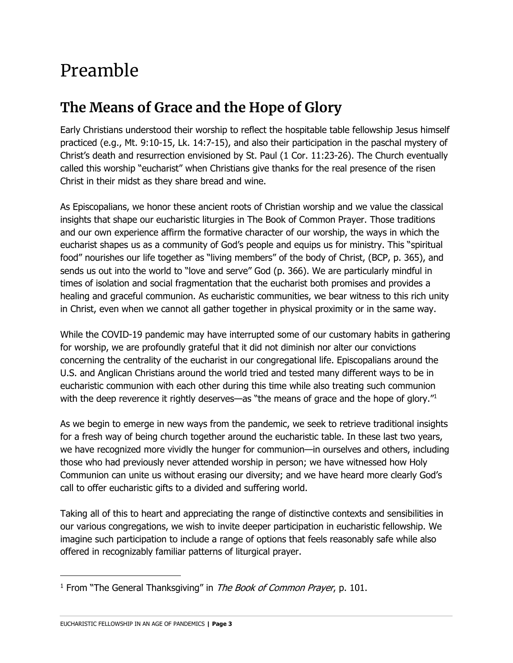### Preamble

### **The Means of Grace and the Hope of Glory**

Early Christians understood their worship to reflect the hospitable table fellowship Jesus himself practiced (e.g., Mt. 9:10-15, Lk. 14:7-15), and also their participation in the paschal mystery of Christ's death and resurrection envisioned by St. Paul (1 Cor. 11:23-26). The Church eventually called this worship "eucharist" when Christians give thanks for the real presence of the risen Christ in their midst as they share bread and wine.

As Episcopalians, we honor these ancient roots of Christian worship and we value the classical insights that shape our eucharistic liturgies in The Book of Common Prayer. Those traditions and our own experience affirm the formative character of our worship, the ways in which the eucharist shapes us as a community of God's people and equips us for ministry. This "spiritual food" nourishes our life together as "living members" of the body of Christ, (BCP, p. 365), and sends us out into the world to "love and serve" God (p. 366). We are particularly mindful in times of isolation and social fragmentation that the eucharist both promises and provides a healing and graceful communion. As eucharistic communities, we bear witness to this rich unity in Christ, even when we cannot all gather together in physical proximity or in the same way.

While the COVID-19 pandemic may have interrupted some of our customary habits in gathering for worship, we are profoundly grateful that it did not diminish nor alter our convictions concerning the centrality of the eucharist in our congregational life. Episcopalians around the U.S. and Anglican Christians around the world tried and tested many different ways to be in eucharistic communion with each other during this time while also treating such communion with the deep reverence it rightly deserves—as "the means of grace and the hope of glory."<sup>1</sup>

As we begin to emerge in new ways from the pandemic, we seek to retrieve traditional insights for a fresh way of being church together around the eucharistic table. In these last two years, we have recognized more vividly the hunger for communion—in ourselves and others, including those who had previously never attended worship in person; we have witnessed how Holy Communion can unite us without erasing our diversity; and we have heard more clearly God's call to offer eucharistic gifts to a divided and suffering world.

Taking all of this to heart and appreciating the range of distinctive contexts and sensibilities in our various congregations, we wish to invite deeper participation in eucharistic fellowship. We imagine such participation to include a range of options that feels reasonably safe while also offered in recognizably familiar patterns of liturgical prayer.

<sup>&</sup>lt;sup>1</sup> From "The General Thanksgiving" in *The Book of Common Prayer*, p. 101.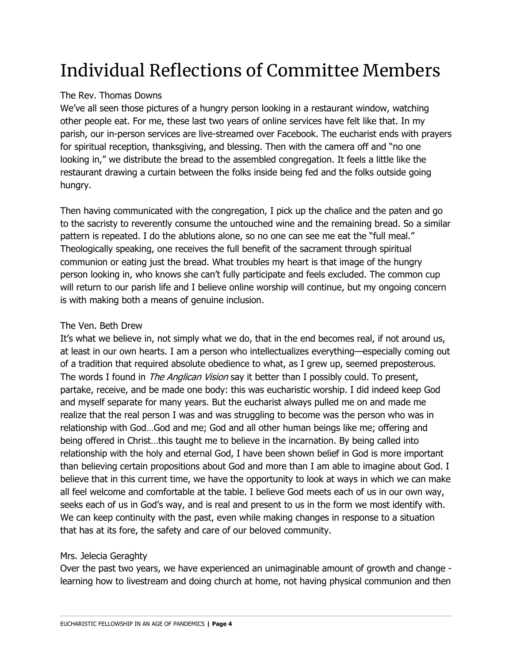# Individual Reflections of Committee Members

#### The Rev. Thomas Downs

We've all seen those pictures of a hungry person looking in a restaurant window, watching other people eat. For me, these last two years of online services have felt like that. In my parish, our in-person services are live-streamed over Facebook. The eucharist ends with prayers for spiritual reception, thanksgiving, and blessing. Then with the camera off and "no one looking in," we distribute the bread to the assembled congregation. It feels a little like the restaurant drawing a curtain between the folks inside being fed and the folks outside going hungry.

Then having communicated with the congregation, I pick up the chalice and the paten and go to the sacristy to reverently consume the untouched wine and the remaining bread. So a similar pattern is repeated. I do the ablutions alone, so no one can see me eat the "full meal." Theologically speaking, one receives the full benefit of the sacrament through spiritual communion or eating just the bread. What troubles my heart is that image of the hungry person looking in, who knows she can't fully participate and feels excluded. The common cup will return to our parish life and I believe online worship will continue, but my ongoing concern is with making both a means of genuine inclusion.

#### The Ven. Beth Drew

It's what we believe in, not simply what we do, that in the end becomes real, if not around us, at least in our own hearts. I am a person who intellectualizes everything—especially coming out of a tradition that required absolute obedience to what, as I grew up, seemed preposterous. The words I found in *The Anglican Vision* say it better than I possibly could. To present, partake, receive, and be made one body: this was eucharistic worship. I did indeed keep God and myself separate for many years. But the eucharist always pulled me on and made me realize that the real person I was and was struggling to become was the person who was in relationship with God…God and me; God and all other human beings like me; offering and being offered in Christ…this taught me to believe in the incarnation. By being called into relationship with the holy and eternal God, I have been shown belief in God is more important than believing certain propositions about God and more than I am able to imagine about God. I believe that in this current time, we have the opportunity to look at ways in which we can make all feel welcome and comfortable at the table. I believe God meets each of us in our own way, seeks each of us in God's way, and is real and present to us in the form we most identify with. We can keep continuity with the past, even while making changes in response to a situation that has at its fore, the safety and care of our beloved community.

#### Mrs. Jelecia Geraghty

Over the past two years, we have experienced an unimaginable amount of growth and change learning how to livestream and doing church at home, not having physical communion and then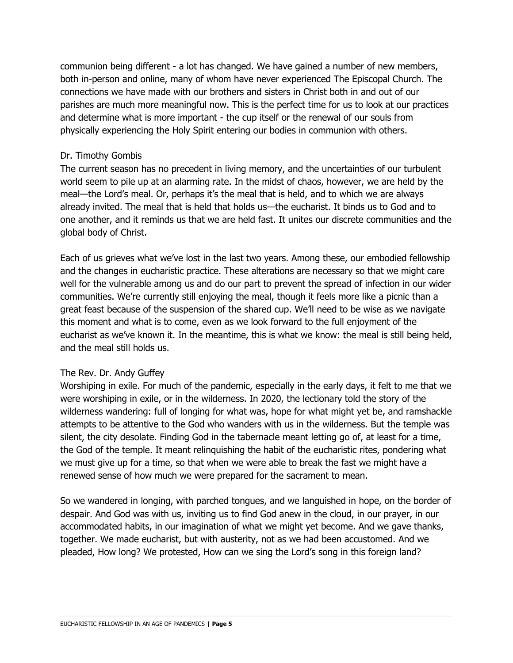communion being different - a lot has changed. We have gained a number of new members, both in-person and online, many of whom have never experienced The Episcopal Church. The connections we have made with our brothers and sisters in Christ both in and out of our parishes are much more meaningful now. This is the perfect time for us to look at our practices and determine what is more important - the cup itself or the renewal of our souls from physically experiencing the Holy Spirit entering our bodies in communion with others.

#### Dr. Timothy Gombis

The current season has no precedent in living memory, and the uncertainties of our turbulent world seem to pile up at an alarming rate. In the midst of chaos, however, we are held by the meal—the Lord's meal. Or, perhaps it's the meal that is held, and to which we are always already invited. The meal that is held that holds us—the eucharist. It binds us to God and to one another, and it reminds us that we are held fast. It unites our discrete communities and the global body of Christ.

Each of us grieves what we've lost in the last two years. Among these, our embodied fellowship and the changes in eucharistic practice. These alterations are necessary so that we might care well for the vulnerable among us and do our part to prevent the spread of infection in our wider communities. We're currently still enjoying the meal, though it feels more like a picnic than a great feast because of the suspension of the shared cup. We'll need to be wise as we navigate this moment and what is to come, even as we look forward to the full enjoyment of the eucharist as we've known it. In the meantime, this is what we know: the meal is still being held, and the meal still holds us.

#### The Rev. Dr. Andy Guffey

Worshiping in exile. For much of the pandemic, especially in the early days, it felt to me that we were worshiping in exile, or in the wilderness. In 2020, the lectionary told the story of the wilderness wandering: full of longing for what was, hope for what might yet be, and ramshackle attempts to be attentive to the God who wanders with us in the wilderness. But the temple was silent, the city desolate. Finding God in the tabernacle meant letting go of, at least for a time, the God of the temple. It meant relinquishing the habit of the eucharistic rites, pondering what we must give up for a time, so that when we were able to break the fast we might have a renewed sense of how much we were prepared for the sacrament to mean.

So we wandered in longing, with parched tongues, and we languished in hope, on the border of despair. And God was with us, inviting us to find God anew in the cloud, in our prayer, in our accommodated habits, in our imagination of what we might yet become. And we gave thanks, together. We made eucharist, but with austerity, not as we had been accustomed. And we pleaded, How long? We protested, How can we sing the Lord's song in this foreign land?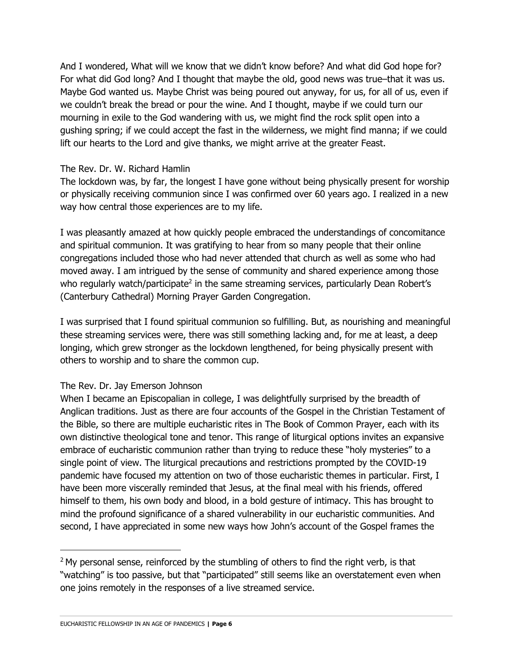And I wondered, What will we know that we didn't know before? And what did God hope for? For what did God long? And I thought that maybe the old, good news was true–that it was us. Maybe God wanted us. Maybe Christ was being poured out anyway, for us, for all of us, even if we couldn't break the bread or pour the wine. And I thought, maybe if we could turn our mourning in exile to the God wandering with us, we might find the rock split open into a gushing spring; if we could accept the fast in the wilderness, we might find manna; if we could lift our hearts to the Lord and give thanks, we might arrive at the greater Feast.

#### The Rev. Dr. W. Richard Hamlin

The lockdown was, by far, the longest I have gone without being physically present for worship or physically receiving communion since I was confirmed over 60 years ago. I realized in a new way how central those experiences are to my life.

I was pleasantly amazed at how quickly people embraced the understandings of concomitance and spiritual communion. It was gratifying to hear from so many people that their online congregations included those who had never attended that church as well as some who had moved away. I am intrigued by the sense of community and shared experience among those who regularly watch/participate<sup>2</sup> in the same streaming services, particularly Dean Robert's (Canterbury Cathedral) Morning Prayer Garden Congregation.

I was surprised that I found spiritual communion so fulfilling. But, as nourishing and meaningful these streaming services were, there was still something lacking and, for me at least, a deep longing, which grew stronger as the lockdown lengthened, for being physically present with others to worship and to share the common cup.

#### The Rev. Dr. Jay Emerson Johnson

When I became an Episcopalian in college, I was delightfully surprised by the breadth of Anglican traditions. Just as there are four accounts of the Gospel in the Christian Testament of the Bible, so there are multiple eucharistic rites in The Book of Common Prayer, each with its own distinctive theological tone and tenor. This range of liturgical options invites an expansive embrace of eucharistic communion rather than trying to reduce these "holy mysteries" to a single point of view. The liturgical precautions and restrictions prompted by the COVID-19 pandemic have focused my attention on two of those eucharistic themes in particular. First, I have been more viscerally reminded that Jesus, at the final meal with his friends, offered himself to them, his own body and blood, in a bold gesture of intimacy. This has brought to mind the profound significance of a shared vulnerability in our eucharistic communities. And second, I have appreciated in some new ways how John's account of the Gospel frames the

 $2$  My personal sense, reinforced by the stumbling of others to find the right verb, is that "watching" is too passive, but that "participated" still seems like an overstatement even when one joins remotely in the responses of a live streamed service.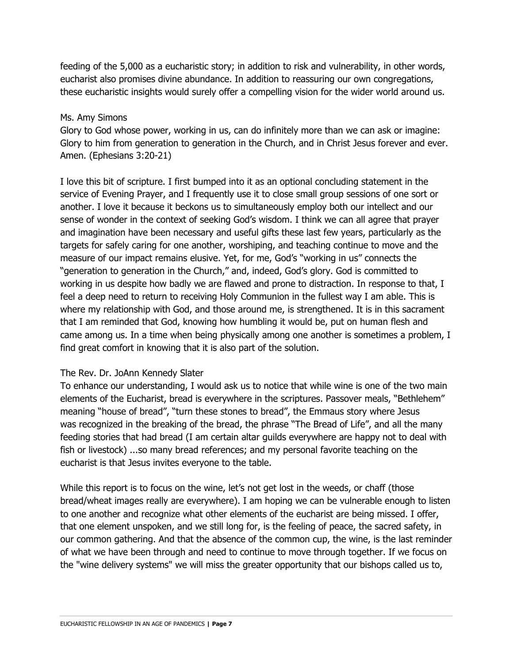feeding of the 5,000 as a eucharistic story; in addition to risk and vulnerability, in other words, eucharist also promises divine abundance. In addition to reassuring our own congregations, these eucharistic insights would surely offer a compelling vision for the wider world around us.

#### Ms. Amy Simons

Glory to God whose power, working in us, can do infinitely more than we can ask or imagine: Glory to him from generation to generation in the Church, and in Christ Jesus forever and ever. Amen. (Ephesians 3:20-21)

I love this bit of scripture. I first bumped into it as an optional concluding statement in the service of Evening Prayer, and I frequently use it to close small group sessions of one sort or another. I love it because it beckons us to simultaneously employ both our intellect and our sense of wonder in the context of seeking God's wisdom. I think we can all agree that prayer and imagination have been necessary and useful gifts these last few years, particularly as the targets for safely caring for one another, worshiping, and teaching continue to move and the measure of our impact remains elusive. Yet, for me, God's "working in us" connects the "generation to generation in the Church," and, indeed, God's glory. God is committed to working in us despite how badly we are flawed and prone to distraction. In response to that, I feel a deep need to return to receiving Holy Communion in the fullest way I am able. This is where my relationship with God, and those around me, is strengthened. It is in this sacrament that I am reminded that God, knowing how humbling it would be, put on human flesh and came among us. In a time when being physically among one another is sometimes a problem, I find great comfort in knowing that it is also part of the solution.

#### The Rev. Dr. JoAnn Kennedy Slater

To enhance our understanding, I would ask us to notice that while wine is one of the two main elements of the Eucharist, bread is everywhere in the scriptures. Passover meals, "Bethlehem" meaning "house of bread", "turn these stones to bread", the Emmaus story where Jesus was recognized in the breaking of the bread, the phrase "The Bread of Life", and all the many feeding stories that had bread (I am certain altar guilds everywhere are happy not to deal with fish or livestock) ...so many bread references; and my personal favorite teaching on the eucharist is that Jesus invites everyone to the table.

While this report is to focus on the wine, let's not get lost in the weeds, or chaff (those bread/wheat images really are everywhere). I am hoping we can be vulnerable enough to listen to one another and recognize what other elements of the eucharist are being missed. I offer, that one element unspoken, and we still long for, is the feeling of peace, the sacred safety, in our common gathering. And that the absence of the common cup, the wine, is the last reminder of what we have been through and need to continue to move through together. If we focus on the "wine delivery systems" we will miss the greater opportunity that our bishops called us to,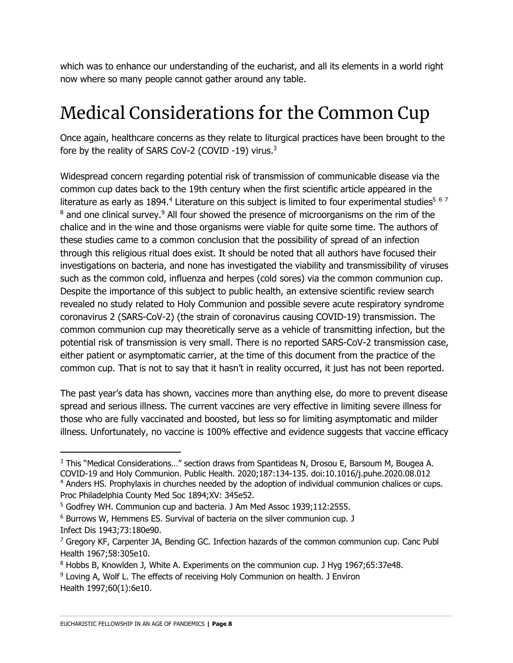which was to enhance our understanding of the eucharist, and all its elements in a world right now where so many people cannot gather around any table.

# Medical Considerations for the Common Cup

Once again, healthcare concerns as they relate to liturgical practices have been brought to the fore by the reality of SARS CoV-2 (COVID -19) virus.<sup>3</sup>

Widespread concern regarding potential risk of transmission of communicable disease via the common cup dates back to the 19th century when the first scientific article appeared in the literature as early as 1894.<sup>4</sup> Literature on this subject is limited to four experimental studies<sup>5 6 7</sup> <sup>8</sup> and one clinical survey.<sup>9</sup> All four showed the presence of microorganisms on the rim of the chalice and in the wine and those organisms were viable for quite some time. The authors of these studies came to a common conclusion that the possibility of spread of an infection through this religious ritual does exist. It should be noted that all authors have focused their investigations on bacteria, and none has investigated the viability and transmissibility of viruses such as the common cold, influenza and herpes (cold sores) via the common communion cup. Despite the importance of this subject to public health, an extensive scientific review search revealed no study related to Holy Communion and possible severe acute respiratory syndrome coronavirus 2 (SARS-CoV-2) (the strain of coronavirus causing COVID-19) transmission. The common communion cup may theoretically serve as a vehicle of transmitting infection, but the potential risk of transmission is very small. There is no reported SARS-CoV-2 transmission case, either patient or asymptomatic carrier, at the time of this document from the practice of the common cup. That is not to say that it hasn't in reality occurred, it just has not been reported.

The past year's data has shown, vaccines more than anything else, do more to prevent disease spread and serious illness. The current vaccines are very effective in limiting severe illness for those who are fully vaccinated and boosted, but less so for limiting asymptomatic and milder illness. Unfortunately, no vaccine is 100% effective and evidence suggests that vaccine efficacy

<sup>&</sup>lt;sup>3</sup> This "Medical Considerations..." section draws from Spantideas N, Drosou E, Barsoum M, Bougea A. COVID-19 and Holy Communion. Public Health. 2020;187:134-135. doi:10.1016/j.puhe.2020.08.012 <sup>4</sup> Anders HS. Prophylaxis in churches needed by the adoption of individual communion chalices or cups.

Proc Philadelphia County Med Soc 1894;XV: 345e52.

<sup>5</sup> Godfrey WH. Communion cup and bacteria. J Am Med Assoc 1939;112:2555.

<sup>6</sup> Burrows W, Hemmens ES. Survival of bacteria on the silver communion cup. J Infect Dis 1943;73:180e90.

 $<sup>7</sup>$  Gregory KF, Carpenter JA, Bending GC. Infection hazards of the common communion cup. Canc Publ</sup> Health 1967;58:305e10.

<sup>8</sup> Hobbs B, Knowlden J, White A. Experiments on the communion cup. J Hyg 1967;65:37e48.

<sup>&</sup>lt;sup>9</sup> Loving A, Wolf L. The effects of receiving Holy Communion on health. J Environ Health 1997;60(1):6e10.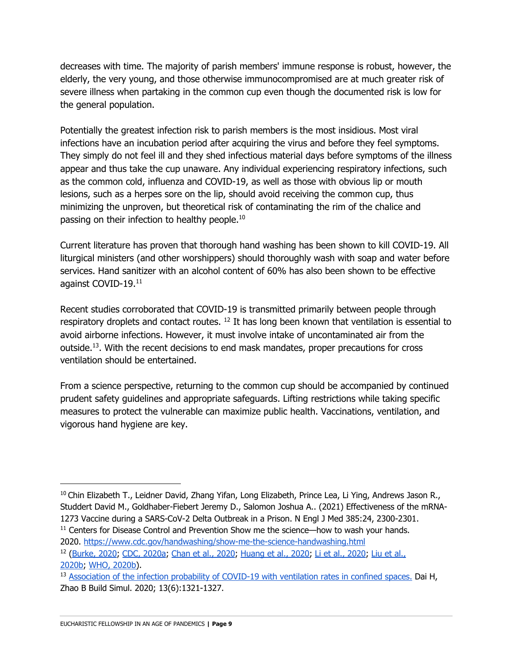decreases with time. The majority of parish members' immune response is robust, however, the elderly, the very young, and those otherwise immunocompromised are at much greater risk of severe illness when partaking in the common cup even though the documented risk is low for the general population.

Potentially the greatest infection risk to parish members is the most insidious. Most viral infections have an incubation period after acquiring the virus and before they feel symptoms. They simply do not feel ill and they shed infectious material days before symptoms of the illness appear and thus take the cup unaware. Any individual experiencing respiratory infections, such as the common cold, influenza and COVID-19, as well as those with obvious lip or mouth lesions, such as a herpes sore on the lip, should avoid receiving the common cup, thus minimizing the unproven, but theoretical risk of contaminating the rim of the chalice and passing on their infection to healthy people.<sup>10</sup>

Current literature has proven that thorough hand washing has been shown to kill COVID-19. All liturgical ministers (and other worshippers) should thoroughly wash with soap and water before services. Hand sanitizer with an alcohol content of 60% has also been shown to be effective against COVID-19.11

Recent studies corroborated that COVID-19 is transmitted primarily between people through respiratory droplets and contact routes. <sup>12</sup> It has long been known that ventilation is essential to avoid airborne infections. However, it must involve intake of uncontaminated air from the outside.13. With the recent decisions to end mask mandates, proper precautions for cross ventilation should be entertained.

From a science perspective, returning to the common cup should be accompanied by continued prudent safety guidelines and appropriate safeguards. Lifting restrictions while taking specific measures to protect the vulnerable can maximize public health. Vaccinations, ventilation, and vigorous hand hygiene are key.

<sup>11</sup> Centers for Disease Control and Prevention Show me the science—how to wash your hands. 2020. https://www.cdc.gov/handwashing/show-me-the-science-handwashing.html

<sup>&</sup>lt;sup>10</sup> Chin Elizabeth T., Leidner David, Zhang Yifan, Long Elizabeth, Prince Lea, Li Ying, Andrews Jason R., Studdert David M., Goldhaber-Fiebert Jeremy D., Salomon Joshua A.. (2021) Effectiveness of the mRNA-1273 Vaccine during a SARS-CoV-2 Delta Outbreak in a Prison. N Engl J Med 385:24, 2300-2301.

<sup>12</sup> (Burke, 2020; CDC, 2020a; Chan et al., 2020; Huang et al., 2020; Li et al., 2020; Liu et al., 2020b; WHO, 2020b).

<sup>&</sup>lt;sup>13</sup> Association of the infection probability of COVID-19 with ventilation rates in confined spaces. Dai H, Zhao B Build Simul. 2020; 13(6):1321-1327.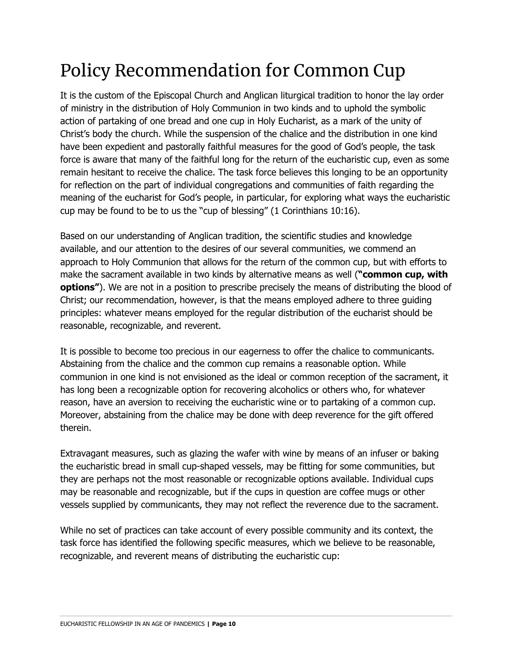# Policy Recommendation for Common Cup

It is the custom of the Episcopal Church and Anglican liturgical tradition to honor the lay order of ministry in the distribution of Holy Communion in two kinds and to uphold the symbolic action of partaking of one bread and one cup in Holy Eucharist, as a mark of the unity of Christ's body the church. While the suspension of the chalice and the distribution in one kind have been expedient and pastorally faithful measures for the good of God's people, the task force is aware that many of the faithful long for the return of the eucharistic cup, even as some remain hesitant to receive the chalice. The task force believes this longing to be an opportunity for reflection on the part of individual congregations and communities of faith regarding the meaning of the eucharist for God's people, in particular, for exploring what ways the eucharistic cup may be found to be to us the "cup of blessing" (1 Corinthians 10:16).

Based on our understanding of Anglican tradition, the scientific studies and knowledge available, and our attention to the desires of our several communities, we commend an approach to Holy Communion that allows for the return of the common cup, but with efforts to make the sacrament available in two kinds by alternative means as well (**"common cup, with options"**). We are not in a position to prescribe precisely the means of distributing the blood of Christ; our recommendation, however, is that the means employed adhere to three guiding principles: whatever means employed for the regular distribution of the eucharist should be reasonable, recognizable, and reverent.

It is possible to become too precious in our eagerness to offer the chalice to communicants. Abstaining from the chalice and the common cup remains a reasonable option. While communion in one kind is not envisioned as the ideal or common reception of the sacrament, it has long been a recognizable option for recovering alcoholics or others who, for whatever reason, have an aversion to receiving the eucharistic wine or to partaking of a common cup. Moreover, abstaining from the chalice may be done with deep reverence for the gift offered therein.

Extravagant measures, such as glazing the wafer with wine by means of an infuser or baking the eucharistic bread in small cup-shaped vessels, may be fitting for some communities, but they are perhaps not the most reasonable or recognizable options available. Individual cups may be reasonable and recognizable, but if the cups in question are coffee mugs or other vessels supplied by communicants, they may not reflect the reverence due to the sacrament.

While no set of practices can take account of every possible community and its context, the task force has identified the following specific measures, which we believe to be reasonable, recognizable, and reverent means of distributing the eucharistic cup: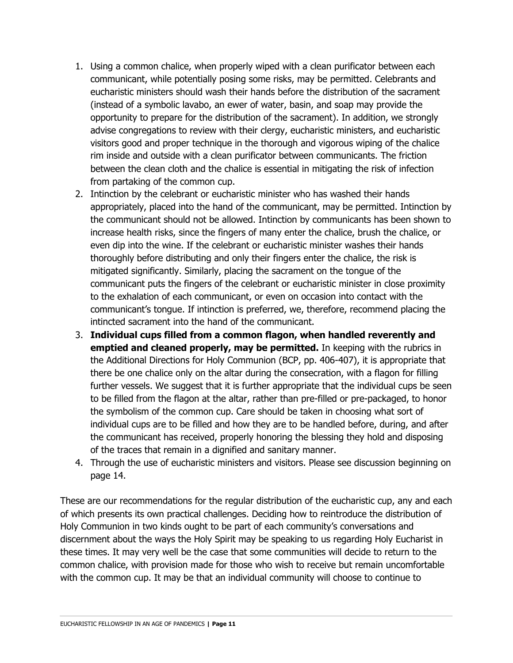- 1. Using a common chalice, when properly wiped with a clean purificator between each communicant, while potentially posing some risks, may be permitted. Celebrants and eucharistic ministers should wash their hands before the distribution of the sacrament (instead of a symbolic lavabo, an ewer of water, basin, and soap may provide the opportunity to prepare for the distribution of the sacrament). In addition, we strongly advise congregations to review with their clergy, eucharistic ministers, and eucharistic visitors good and proper technique in the thorough and vigorous wiping of the chalice rim inside and outside with a clean purificator between communicants. The friction between the clean cloth and the chalice is essential in mitigating the risk of infection from partaking of the common cup.
- 2. Intinction by the celebrant or eucharistic minister who has washed their hands appropriately, placed into the hand of the communicant, may be permitted. Intinction by the communicant should not be allowed. Intinction by communicants has been shown to increase health risks, since the fingers of many enter the chalice, brush the chalice, or even dip into the wine. If the celebrant or eucharistic minister washes their hands thoroughly before distributing and only their fingers enter the chalice, the risk is mitigated significantly. Similarly, placing the sacrament on the tongue of the communicant puts the fingers of the celebrant or eucharistic minister in close proximity to the exhalation of each communicant, or even on occasion into contact with the communicant's tongue. If intinction is preferred, we, therefore, recommend placing the intincted sacrament into the hand of the communicant.
- 3. **Individual cups filled from a common flagon, when handled reverently and emptied and cleaned properly, may be permitted.** In keeping with the rubrics in the Additional Directions for Holy Communion (BCP, pp. 406-407), it is appropriate that there be one chalice only on the altar during the consecration, with a flagon for filling further vessels. We suggest that it is further appropriate that the individual cups be seen to be filled from the flagon at the altar, rather than pre-filled or pre-packaged, to honor the symbolism of the common cup. Care should be taken in choosing what sort of individual cups are to be filled and how they are to be handled before, during, and after the communicant has received, properly honoring the blessing they hold and disposing of the traces that remain in a dignified and sanitary manner.
- 4. Through the use of eucharistic ministers and visitors. Please see discussion beginning on page 14.

These are our recommendations for the regular distribution of the eucharistic cup, any and each of which presents its own practical challenges. Deciding how to reintroduce the distribution of Holy Communion in two kinds ought to be part of each community's conversations and discernment about the ways the Holy Spirit may be speaking to us regarding Holy Eucharist in these times. It may very well be the case that some communities will decide to return to the common chalice, with provision made for those who wish to receive but remain uncomfortable with the common cup. It may be that an individual community will choose to continue to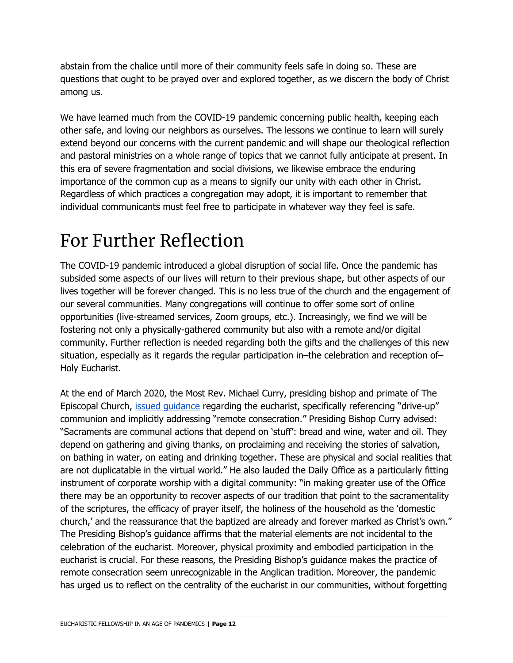abstain from the chalice until more of their community feels safe in doing so. These are questions that ought to be prayed over and explored together, as we discern the body of Christ among us.

We have learned much from the COVID-19 pandemic concerning public health, keeping each other safe, and loving our neighbors as ourselves. The lessons we continue to learn will surely extend beyond our concerns with the current pandemic and will shape our theological reflection and pastoral ministries on a whole range of topics that we cannot fully anticipate at present. In this era of severe fragmentation and social divisions, we likewise embrace the enduring importance of the common cup as a means to signify our unity with each other in Christ. Regardless of which practices a congregation may adopt, it is important to remember that individual communicants must feel free to participate in whatever way they feel is safe.

### For Further Reflection

The COVID-19 pandemic introduced a global disruption of social life. Once the pandemic has subsided some aspects of our lives will return to their previous shape, but other aspects of our lives together will be forever changed. This is no less true of the church and the engagement of our several communities. Many congregations will continue to offer some sort of online opportunities (live-streamed services, Zoom groups, etc.). Increasingly, we find we will be fostering not only a physically-gathered community but also with a remote and/or digital community. Further reflection is needed regarding both the gifts and the challenges of this new situation, especially as it regards the regular participation in–the celebration and reception of– Holy Eucharist.

At the end of March 2020, the Most Rev. Michael Curry, presiding bishop and primate of The Episcopal Church, issued guidance regarding the eucharist, specifically referencing "drive-up" communion and implicitly addressing "remote consecration." Presiding Bishop Curry advised: "Sacraments are communal actions that depend on 'stuff': bread and wine, water and oil. They depend on gathering and giving thanks, on proclaiming and receiving the stories of salvation, on bathing in water, on eating and drinking together. These are physical and social realities that are not duplicatable in the virtual world." He also lauded the Daily Office as a particularly fitting instrument of corporate worship with a digital community: "in making greater use of the Office there may be an opportunity to recover aspects of our tradition that point to the sacramentality of the scriptures, the efficacy of prayer itself, the holiness of the household as the 'domestic church,' and the reassurance that the baptized are already and forever marked as Christ's own." The Presiding Bishop's guidance affirms that the material elements are not incidental to the celebration of the eucharist. Moreover, physical proximity and embodied participation in the eucharist is crucial. For these reasons, the Presiding Bishop's guidance makes the practice of remote consecration seem unrecognizable in the Anglican tradition. Moreover, the pandemic has urged us to reflect on the centrality of the eucharist in our communities, without forgetting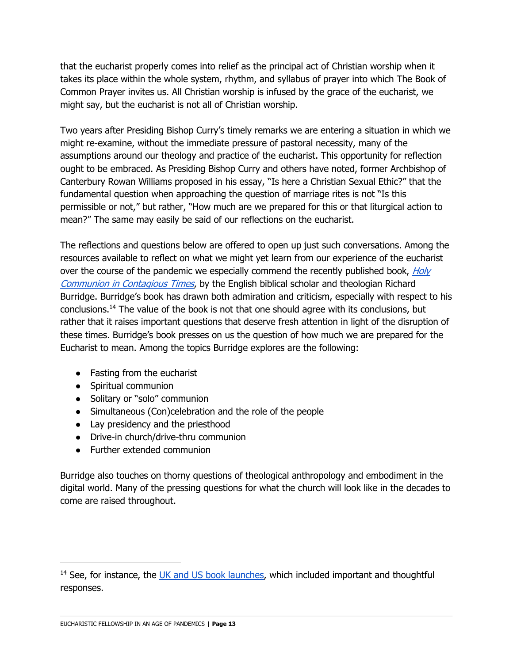that the eucharist properly comes into relief as the principal act of Christian worship when it takes its place within the whole system, rhythm, and syllabus of prayer into which The Book of Common Prayer invites us. All Christian worship is infused by the grace of the eucharist, we might say, but the eucharist is not all of Christian worship.

Two years after Presiding Bishop Curry's timely remarks we are entering a situation in which we might re-examine, without the immediate pressure of pastoral necessity, many of the assumptions around our theology and practice of the eucharist. This opportunity for reflection ought to be embraced. As Presiding Bishop Curry and others have noted, former Archbishop of Canterbury Rowan Williams proposed in his essay, "Is here a Christian Sexual Ethic?" that the fundamental question when approaching the question of marriage rites is not "Is this permissible or not," but rather, "How much are we prepared for this or that liturgical action to mean?" The same may easily be said of our reflections on the eucharist.

The reflections and questions below are offered to open up just such conversations. Among the resources available to reflect on what we might yet learn from our experience of the eucharist over the course of the pandemic we especially commend the recently published book,  $Holy$ Communion in Contagious Times, by the English biblical scholar and theologian Richard Burridge. Burridge's book has drawn both admiration and criticism, especially with respect to his conclusions.14 The value of the book is not that one should agree with its conclusions, but rather that it raises important questions that deserve fresh attention in light of the disruption of these times. Burridge's book presses on us the question of how much we are prepared for the Eucharist to mean. Among the topics Burridge explores are the following:

- Fasting from the eucharist
- Spiritual communion
- Solitary or "solo" communion
- Simultaneous (Con)celebration and the role of the people
- Lay presidency and the priesthood
- Drive-in church/drive-thru communion
- Further extended communion

Burridge also touches on thorny questions of theological anthropology and embodiment in the digital world. Many of the pressing questions for what the church will look like in the decades to come are raised throughout.

 $14$  See, for instance, the UK and US book launches, which included important and thoughtful responses.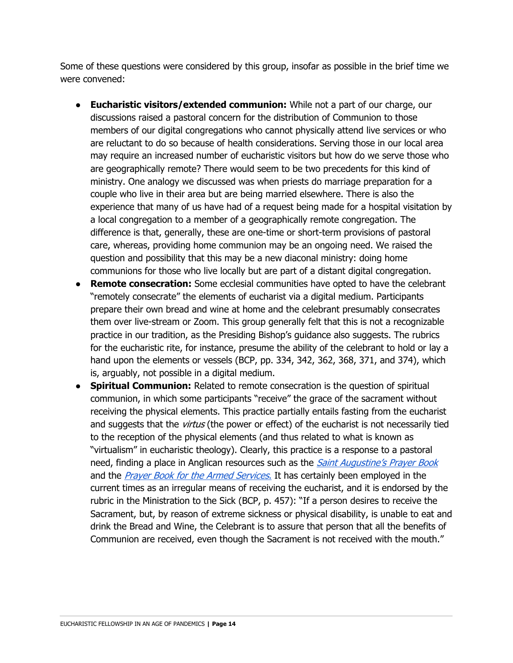Some of these questions were considered by this group, insofar as possible in the brief time we were convened:

- **Eucharistic visitors/extended communion:** While not a part of our charge, our discussions raised a pastoral concern for the distribution of Communion to those members of our digital congregations who cannot physically attend live services or who are reluctant to do so because of health considerations. Serving those in our local area may require an increased number of eucharistic visitors but how do we serve those who are geographically remote? There would seem to be two precedents for this kind of ministry. One analogy we discussed was when priests do marriage preparation for a couple who live in their area but are being married elsewhere. There is also the experience that many of us have had of a request being made for a hospital visitation by a local congregation to a member of a geographically remote congregation. The difference is that, generally, these are one-time or short-term provisions of pastoral care, whereas, providing home communion may be an ongoing need. We raised the question and possibility that this may be a new diaconal ministry: doing home communions for those who live locally but are part of a distant digital congregation.
- **Remote consecration:** Some ecclesial communities have opted to have the celebrant "remotely consecrate" the elements of eucharist via a digital medium. Participants prepare their own bread and wine at home and the celebrant presumably consecrates them over live-stream or Zoom. This group generally felt that this is not a recognizable practice in our tradition, as the Presiding Bishop's guidance also suggests. The rubrics for the eucharistic rite, for instance, presume the ability of the celebrant to hold or lay a hand upon the elements or vessels (BCP, pp. 334, 342, 362, 368, 371, and 374), which is, arguably, not possible in a digital medium.
- **Spiritual Communion:** Related to remote consecration is the question of spiritual communion, in which some participants "receive" the grace of the sacrament without receiving the physical elements. This practice partially entails fasting from the eucharist and suggests that the *virtus* (the power or effect) of the eucharist is not necessarily tied to the reception of the physical elements (and thus related to what is known as "virtualism" in eucharistic theology). Clearly, this practice is a response to a pastoral need, finding a place in Anglican resources such as the *Saint Augustine's Prayer Book* and the Prayer Book for the Armed Services. It has certainly been employed in the current times as an irregular means of receiving the eucharist, and it is endorsed by the rubric in the Ministration to the Sick (BCP, p. 457): "If a person desires to receive the Sacrament, but, by reason of extreme sickness or physical disability, is unable to eat and drink the Bread and Wine, the Celebrant is to assure that person that all the benefits of Communion are received, even though the Sacrament is not received with the mouth."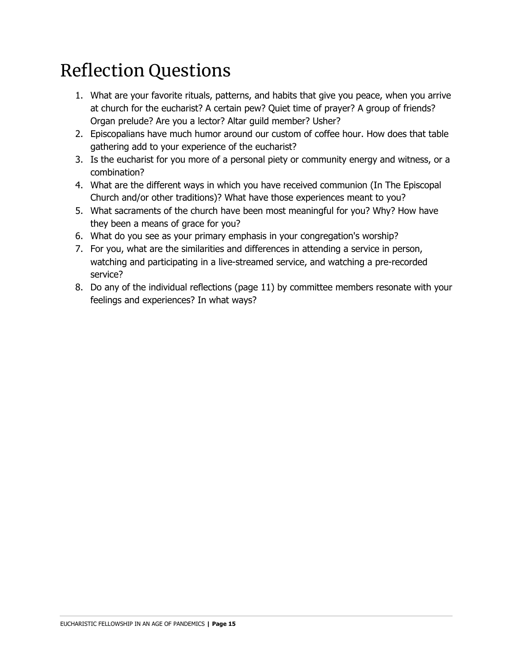# Reflection Questions

- 1. What are your favorite rituals, patterns, and habits that give you peace, when you arrive at church for the eucharist? A certain pew? Quiet time of prayer? A group of friends? Organ prelude? Are you a lector? Altar guild member? Usher?
- 2. Episcopalians have much humor around our custom of coffee hour. How does that table gathering add to your experience of the eucharist?
- 3. Is the eucharist for you more of a personal piety or community energy and witness, or a combination?
- 4. What are the different ways in which you have received communion (In The Episcopal Church and/or other traditions)? What have those experiences meant to you?
- 5. What sacraments of the church have been most meaningful for you? Why? How have they been a means of grace for you?
- 6. What do you see as your primary emphasis in your congregation's worship?
- 7. For you, what are the similarities and differences in attending a service in person, watching and participating in a live-streamed service, and watching a pre-recorded service?
- 8. Do any of the individual reflections (page 11) by committee members resonate with your feelings and experiences? In what ways?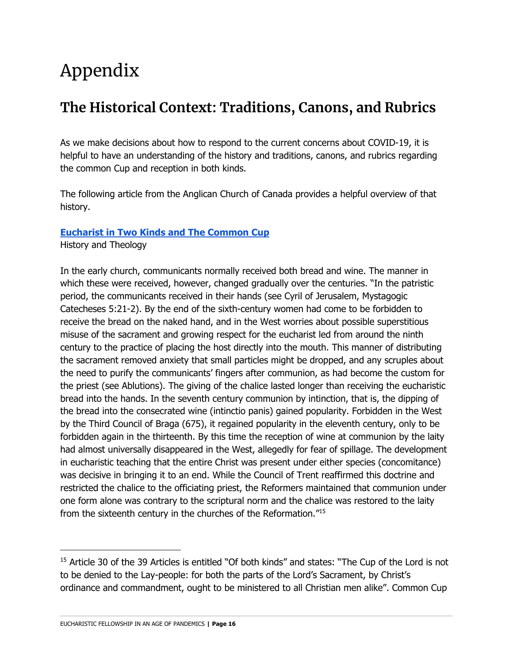# Appendix

### **The Historical Context: Traditions, Canons, and Rubrics**

As we make decisions about how to respond to the current concerns about COVID-19, it is helpful to have an understanding of the history and traditions, canons, and rubrics regarding the common Cup and reception in both kinds.

The following article from the Anglican Church of Canada provides a helpful overview of that history.

#### **Eucharist in Two Kinds and The Common Cup**

History and Theology

In the early church, communicants normally received both bread and wine. The manner in which these were received, however, changed gradually over the centuries. "In the patristic period, the communicants received in their hands (see Cyril of Jerusalem, Mystagogic Catecheses 5:21-2). By the end of the sixth-century women had come to be forbidden to receive the bread on the naked hand, and in the West worries about possible superstitious misuse of the sacrament and growing respect for the eucharist led from around the ninth century to the practice of placing the host directly into the mouth. This manner of distributing the sacrament removed anxiety that small particles might be dropped, and any scruples about the need to purify the communicants' fingers after communion, as had become the custom for the priest (see Ablutions). The giving of the chalice lasted longer than receiving the eucharistic bread into the hands. In the seventh century communion by intinction, that is, the dipping of the bread into the consecrated wine (intinctio panis) gained popularity. Forbidden in the West by the Third Council of Braga (675), it regained popularity in the eleventh century, only to be forbidden again in the thirteenth. By this time the reception of wine at communion by the laity had almost universally disappeared in the West, allegedly for fear of spillage. The development in eucharistic teaching that the entire Christ was present under either species (concomitance) was decisive in bringing it to an end. While the Council of Trent reaffirmed this doctrine and restricted the chalice to the officiating priest, the Reformers maintained that communion under one form alone was contrary to the scriptural norm and the chalice was restored to the laity from the sixteenth century in the churches of the Reformation."15

<sup>&</sup>lt;sup>15</sup> Article 30 of the 39 Articles is entitled "Of both kinds" and states: "The Cup of the Lord is not to be denied to the Lay-people: for both the parts of the Lord's Sacrament, by Christ's ordinance and commandment, ought to be ministered to all Christian men alike". Common Cup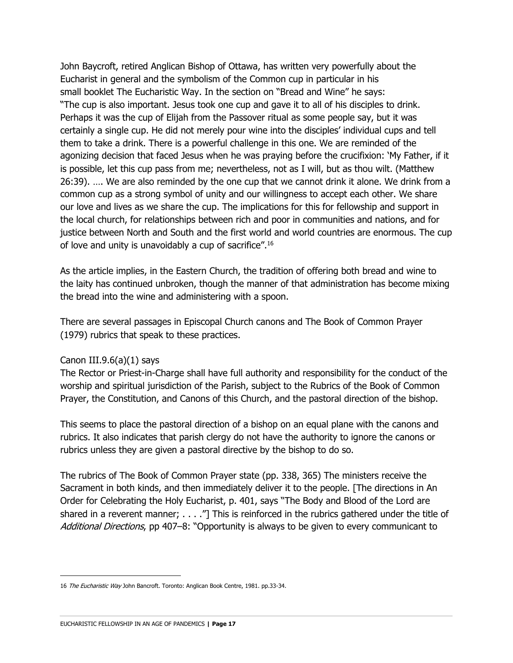John Baycroft, retired Anglican Bishop of Ottawa, has written very powerfully about the Eucharist in general and the symbolism of the Common cup in particular in his small booklet The Eucharistic Way. In the section on "Bread and Wine" he says: "The cup is also important. Jesus took one cup and gave it to all of his disciples to drink. Perhaps it was the cup of Elijah from the Passover ritual as some people say, but it was certainly a single cup. He did not merely pour wine into the disciples' individual cups and tell them to take a drink. There is a powerful challenge in this one. We are reminded of the agonizing decision that faced Jesus when he was praying before the crucifixion: 'My Father, if it is possible, let this cup pass from me; nevertheless, not as I will, but as thou wilt. (Matthew 26:39). …. We are also reminded by the one cup that we cannot drink it alone. We drink from a common cup as a strong symbol of unity and our willingness to accept each other. We share our love and lives as we share the cup. The implications for this for fellowship and support in the local church, for relationships between rich and poor in communities and nations, and for justice between North and South and the first world and world countries are enormous. The cup of love and unity is unavoidably a cup of sacrifice".16

As the article implies, in the Eastern Church, the tradition of offering both bread and wine to the laity has continued unbroken, though the manner of that administration has become mixing the bread into the wine and administering with a spoon.

There are several passages in Episcopal Church canons and The Book of Common Prayer (1979) rubrics that speak to these practices.

#### Canon III.9.6(a) $(1)$  says

The Rector or Priest-in-Charge shall have full authority and responsibility for the conduct of the worship and spiritual jurisdiction of the Parish, subject to the Rubrics of the Book of Common Prayer, the Constitution, and Canons of this Church, and the pastoral direction of the bishop.

This seems to place the pastoral direction of a bishop on an equal plane with the canons and rubrics. It also indicates that parish clergy do not have the authority to ignore the canons or rubrics unless they are given a pastoral directive by the bishop to do so.

The rubrics of The Book of Common Prayer state (pp. 338, 365) The ministers receive the Sacrament in both kinds, and then immediately deliver it to the people. [The directions in An Order for Celebrating the Holy Eucharist, p. 401, says "The Body and Blood of the Lord are shared in a reverent manner;  $\dots$  . . . . This is reinforced in the rubrics gathered under the title of Additional Directions, pp 407-8: "Opportunity is always to be given to every communicant to

<sup>16</sup> The Eucharistic Way John Bancroft. Toronto: Anglican Book Centre, 1981. pp.33-34.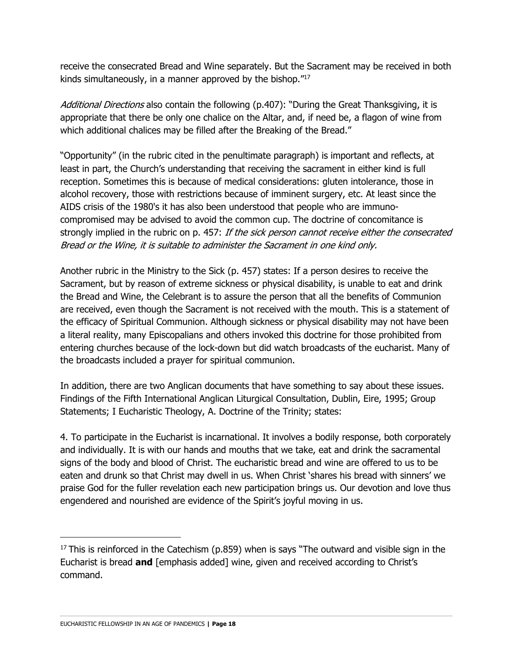receive the consecrated Bread and Wine separately. But the Sacrament may be received in both kinds simultaneously, in a manner approved by the bishop."17

Additional Directions also contain the following (p.407): "During the Great Thanksgiving, it is appropriate that there be only one chalice on the Altar, and, if need be, a flagon of wine from which additional chalices may be filled after the Breaking of the Bread."

"Opportunity" (in the rubric cited in the penultimate paragraph) is important and reflects, at least in part, the Church's understanding that receiving the sacrament in either kind is full reception. Sometimes this is because of medical considerations: gluten intolerance, those in alcohol recovery, those with restrictions because of imminent surgery, etc. At least since the AIDS crisis of the 1980's it has also been understood that people who are immunocompromised may be advised to avoid the common cup. The doctrine of concomitance is strongly implied in the rubric on p. 457: If the sick person cannot receive either the consecrated Bread or the Wine, it is suitable to administer the Sacrament in one kind only.

Another rubric in the Ministry to the Sick (p. 457) states: If a person desires to receive the Sacrament, but by reason of extreme sickness or physical disability, is unable to eat and drink the Bread and Wine, the Celebrant is to assure the person that all the benefits of Communion are received, even though the Sacrament is not received with the mouth. This is a statement of the efficacy of Spiritual Communion. Although sickness or physical disability may not have been a literal reality, many Episcopalians and others invoked this doctrine for those prohibited from entering churches because of the lock-down but did watch broadcasts of the eucharist. Many of the broadcasts included a prayer for spiritual communion.

In addition, there are two Anglican documents that have something to say about these issues. Findings of the Fifth International Anglican Liturgical Consultation, Dublin, Eire, 1995; Group Statements; I Eucharistic Theology, A. Doctrine of the Trinity; states:

4. To participate in the Eucharist is incarnational. It involves a bodily response, both corporately and individually. It is with our hands and mouths that we take, eat and drink the sacramental signs of the body and blood of Christ. The eucharistic bread and wine are offered to us to be eaten and drunk so that Christ may dwell in us. When Christ 'shares his bread with sinners' we praise God for the fuller revelation each new participation brings us. Our devotion and love thus engendered and nourished are evidence of the Spirit's joyful moving in us.

 $17$  This is reinforced in the Catechism (p.859) when is says "The outward and visible sign in the Eucharist is bread **and** [emphasis added] wine, given and received according to Christ's command.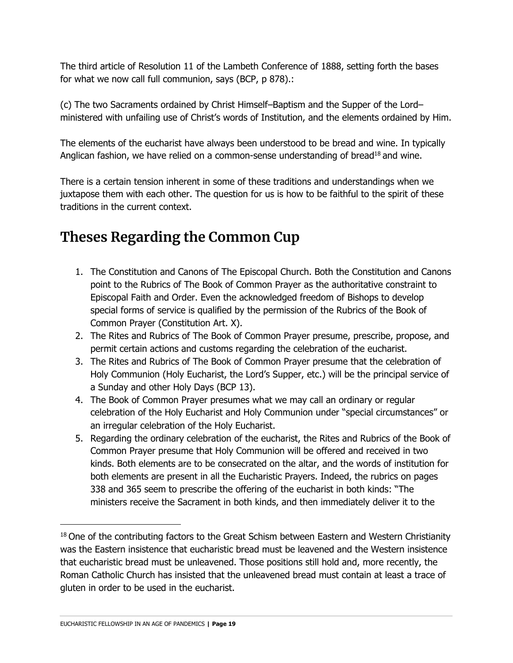The third article of Resolution 11 of the Lambeth Conference of 1888, setting forth the bases for what we now call full communion, says (BCP, p 878).:

(c) The two Sacraments ordained by Christ Himself–Baptism and the Supper of the Lord– ministered with unfailing use of Christ's words of Institution, and the elements ordained by Him.

The elements of the eucharist have always been understood to be bread and wine. In typically Anglican fashion, we have relied on a common-sense understanding of bread<sup>18</sup> and wine.

There is a certain tension inherent in some of these traditions and understandings when we juxtapose them with each other. The question for us is how to be faithful to the spirit of these traditions in the current context.

### **Theses Regarding the Common Cup**

- 1. The Constitution and Canons of The Episcopal Church. Both the Constitution and Canons point to the Rubrics of The Book of Common Prayer as the authoritative constraint to Episcopal Faith and Order. Even the acknowledged freedom of Bishops to develop special forms of service is qualified by the permission of the Rubrics of the Book of Common Prayer (Constitution Art. X).
- 2. The Rites and Rubrics of The Book of Common Prayer presume, prescribe, propose, and permit certain actions and customs regarding the celebration of the eucharist.
- 3. The Rites and Rubrics of The Book of Common Prayer presume that the celebration of Holy Communion (Holy Eucharist, the Lord's Supper, etc.) will be the principal service of a Sunday and other Holy Days (BCP 13).
- 4. The Book of Common Prayer presumes what we may call an ordinary or regular celebration of the Holy Eucharist and Holy Communion under "special circumstances" or an irregular celebration of the Holy Eucharist.
- 5. Regarding the ordinary celebration of the eucharist, the Rites and Rubrics of the Book of Common Prayer presume that Holy Communion will be offered and received in two kinds. Both elements are to be consecrated on the altar, and the words of institution for both elements are present in all the Eucharistic Prayers. Indeed, the rubrics on pages 338 and 365 seem to prescribe the offering of the eucharist in both kinds: "The ministers receive the Sacrament in both kinds, and then immediately deliver it to the

<sup>&</sup>lt;sup>18</sup> One of the contributing factors to the Great Schism between Eastern and Western Christianity was the Eastern insistence that eucharistic bread must be leavened and the Western insistence that eucharistic bread must be unleavened. Those positions still hold and, more recently, the Roman Catholic Church has insisted that the unleavened bread must contain at least a trace of gluten in order to be used in the eucharist.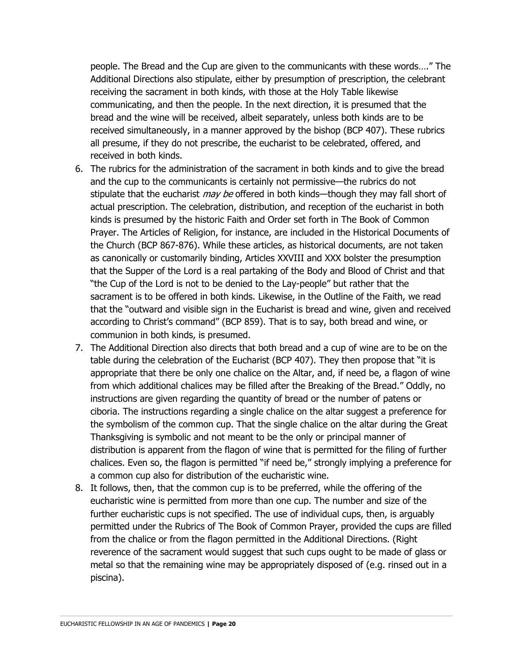people. The Bread and the Cup are given to the communicants with these words…." The Additional Directions also stipulate, either by presumption of prescription, the celebrant receiving the sacrament in both kinds, with those at the Holy Table likewise communicating, and then the people. In the next direction, it is presumed that the bread and the wine will be received, albeit separately, unless both kinds are to be received simultaneously, in a manner approved by the bishop (BCP 407). These rubrics all presume, if they do not prescribe, the eucharist to be celebrated, offered, and received in both kinds.

- 6. The rubrics for the administration of the sacrament in both kinds and to give the bread and the cup to the communicants is certainly not permissive—the rubrics do not stipulate that the eucharist *may be* offered in both kinds—though they may fall short of actual prescription. The celebration, distribution, and reception of the eucharist in both kinds is presumed by the historic Faith and Order set forth in The Book of Common Prayer. The Articles of Religion, for instance, are included in the Historical Documents of the Church (BCP 867-876). While these articles, as historical documents, are not taken as canonically or customarily binding, Articles XXVIII and XXX bolster the presumption that the Supper of the Lord is a real partaking of the Body and Blood of Christ and that "the Cup of the Lord is not to be denied to the Lay-people" but rather that the sacrament is to be offered in both kinds. Likewise, in the Outline of the Faith, we read that the "outward and visible sign in the Eucharist is bread and wine, given and received according to Christ's command" (BCP 859). That is to say, both bread and wine, or communion in both kinds, is presumed.
- 7. The Additional Direction also directs that both bread and a cup of wine are to be on the table during the celebration of the Eucharist (BCP 407). They then propose that "it is appropriate that there be only one chalice on the Altar, and, if need be, a flagon of wine from which additional chalices may be filled after the Breaking of the Bread." Oddly, no instructions are given regarding the quantity of bread or the number of patens or ciboria. The instructions regarding a single chalice on the altar suggest a preference for the symbolism of the common cup. That the single chalice on the altar during the Great Thanksgiving is symbolic and not meant to be the only or principal manner of distribution is apparent from the flagon of wine that is permitted for the filing of further chalices. Even so, the flagon is permitted "if need be," strongly implying a preference for a common cup also for distribution of the eucharistic wine.
- 8. It follows, then, that the common cup is to be preferred, while the offering of the eucharistic wine is permitted from more than one cup. The number and size of the further eucharistic cups is not specified. The use of individual cups, then, is arguably permitted under the Rubrics of The Book of Common Prayer, provided the cups are filled from the chalice or from the flagon permitted in the Additional Directions. (Right reverence of the sacrament would suggest that such cups ought to be made of glass or metal so that the remaining wine may be appropriately disposed of (e.g. rinsed out in a piscina).